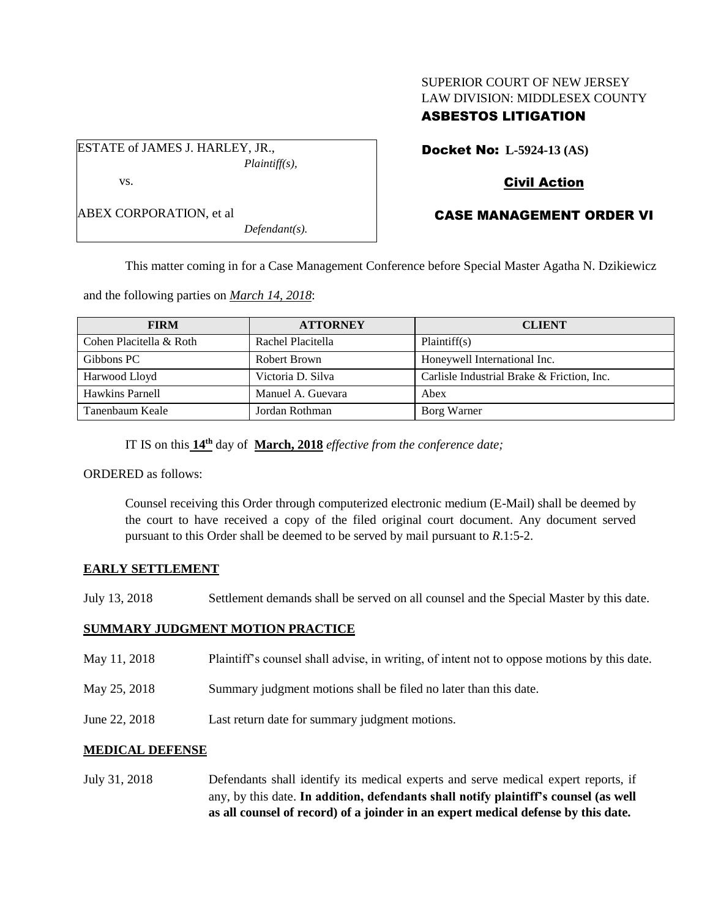## SUPERIOR COURT OF NEW JERSEY LAW DIVISION: MIDDLESEX COUNTY ASBESTOS LITIGATION

ESTATE of JAMES J. HARLEY, JR., *Plaintiff(s),*

vs.

ABEX CORPORATION, et al

*Defendant(s).*

# Docket No: **L-5924-13 (AS)**

# Civil Action

# CASE MANAGEMENT ORDER VI

This matter coming in for a Case Management Conference before Special Master Agatha N. Dzikiewicz

and the following parties on *March 14, 2018*:

| <b>FIRM</b>             | <b>ATTORNEY</b>   | <b>CLIENT</b>                              |
|-------------------------|-------------------|--------------------------------------------|
| Cohen Placitella & Roth | Rachel Placitella | Plaintiff(s)                               |
| Gibbons PC              | Robert Brown      | Honeywell International Inc.               |
| Harwood Lloyd           | Victoria D. Silva | Carlisle Industrial Brake & Friction, Inc. |
| Hawkins Parnell         | Manuel A. Guevara | Abex                                       |
| Tanenbaum Keale         | Jordan Rothman    | Borg Warner                                |

IT IS on this  $14^{\text{th}}$  day of March, 2018 *effective from the conference date*;

ORDERED as follows:

Counsel receiving this Order through computerized electronic medium (E-Mail) shall be deemed by the court to have received a copy of the filed original court document. Any document served pursuant to this Order shall be deemed to be served by mail pursuant to *R*.1:5-2.

### **EARLY SETTLEMENT**

July 13, 2018 Settlement demands shall be served on all counsel and the Special Master by this date.

### **SUMMARY JUDGMENT MOTION PRACTICE**

- May 11, 2018 Plaintiff's counsel shall advise, in writing, of intent not to oppose motions by this date.
- May 25, 2018 Summary judgment motions shall be filed no later than this date.
- June 22, 2018 Last return date for summary judgment motions.

## **MEDICAL DEFENSE**

July 31, 2018 Defendants shall identify its medical experts and serve medical expert reports, if any, by this date. **In addition, defendants shall notify plaintiff's counsel (as well as all counsel of record) of a joinder in an expert medical defense by this date.**